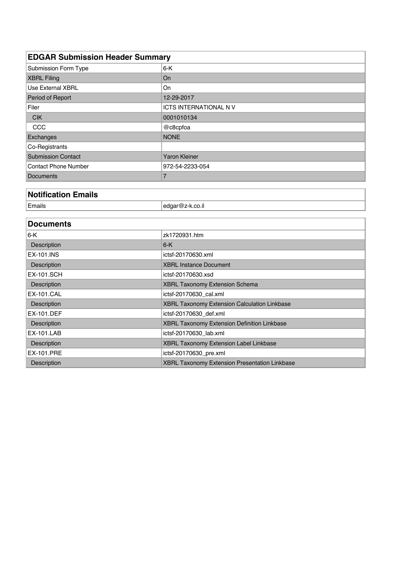| <b>EDGAR Submission Header Summary</b> |                                               |  |  |  |  |
|----------------------------------------|-----------------------------------------------|--|--|--|--|
| Submission Form Type                   | $6-K$                                         |  |  |  |  |
| <b>XBRL Filing</b>                     | On                                            |  |  |  |  |
| <b>Use External XBRL</b>               | On                                            |  |  |  |  |
| Period of Report                       | 12-29-2017                                    |  |  |  |  |
| Filer                                  | <b>ICTS INTERNATIONAL NV</b>                  |  |  |  |  |
| <b>CIK</b>                             | 0001010134                                    |  |  |  |  |
| CCC                                    | @c8cpfoa                                      |  |  |  |  |
| Exchanges                              | <b>NONE</b>                                   |  |  |  |  |
| Co-Registrants                         |                                               |  |  |  |  |
| <b>Submission Contact</b>              | <b>Yaron Kleiner</b>                          |  |  |  |  |
| <b>Contact Phone Number</b>            | 972-54-2233-054                               |  |  |  |  |
| <b>Documents</b>                       | $\overline{7}$                                |  |  |  |  |
|                                        |                                               |  |  |  |  |
| <b>Notification Emails</b>             |                                               |  |  |  |  |
| Emails                                 | edgar@z-k.co.il                               |  |  |  |  |
|                                        |                                               |  |  |  |  |
| <b>Documents</b>                       |                                               |  |  |  |  |
| $6-K$                                  | zk1720931.htm                                 |  |  |  |  |
| Description                            | $6-K$                                         |  |  |  |  |
| <b>EX-101.INS</b>                      | ictsf-20170630.xml                            |  |  |  |  |
| Description                            | <b>XBRL Instance Document</b>                 |  |  |  |  |
| <b>EX-101.SCH</b>                      | ictsf-20170630.xsd                            |  |  |  |  |
| Description                            | XBRL Taxonomy Extension Schema                |  |  |  |  |
| <b>EX-101.CAL</b>                      | ictsf-20170630_cal.xml                        |  |  |  |  |
| Description                            | XBRL Taxonomy Extension Calculation Linkbase  |  |  |  |  |
| <b>EX-101.DEF</b>                      | ictsf-20170630_def.xml                        |  |  |  |  |
| Description                            | XBRL Taxonomy Extension Definition Linkbase   |  |  |  |  |
| <b>EX-101.LAB</b>                      | ictsf-20170630_lab.xml                        |  |  |  |  |
| Description                            | XBRL Taxonomy Extension Label Linkbase        |  |  |  |  |
| <b>EX-101.PRE</b>                      | ictsf-20170630_pre.xml                        |  |  |  |  |
| Description                            | XBRL Taxonomy Extension Presentation Linkbase |  |  |  |  |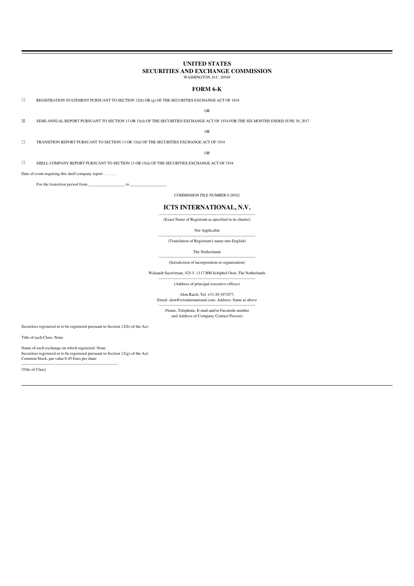# **UNITED STATES SECURITIES AND EXCHANGE COMMISSION**

WASHINGTON, D.C. 20549

# **FORM 6-K**

 $\Box$  REGISTRATION STATEMENT PURSUANT TO SECTION 12(b) OR (g) OF THE SECURITIES EXCHANGE ACT OF 1934

# OR

☒ SEMI-ANNUAL REPORT PURSUANT TO SECTION 13 OR 15(d) OF THE SECURITIES EXCHANGE ACT OF 1934 FOR THE SIX MONTHS ENDED JUNE 30, 2017

OR

☐ TRANSITION REPORT PURSUANT TO SECTION 13 OR 15(d) OF THE SECURITIES EXCHANGE ACT OF 1934

# OR

 $\Box$  SHELL COMPANY REPORT PURSUANT TO SECTION 13 OR 15(d) OF THE SECURITIES EXCHANGE ACT OF 1934

Date of event requiring this shell company report . . . . . . .

For the transition period from  $\qquad \qquad$  to

COMMISSION FILE NUMBER 0-28542

# **ICTS INTERNATIONAL, N.V.**

----------------------------------------------------------------------------- (Exact Name of Registrant as specified in its charter)

# Not Applicable

----------------------------------------------------------------------------- (Translation of Registrant's name into English)

The Netherlands

# ----------------------------------------------------------------------------- (Jurisdiction of incorporation or organization)

Walaardt Sacréstraat, 425-5, 1117 BM Schiphol Oost, The Netherlands -----------------------------------------------------------------------------

(Address of principal executive offices)

Alon Raich, Tel: +31-20-3471077, Email: alon@ictsinternational.com, Address: Same as above

----------------------------------------------------------------------------- (Name, Telephone, E-mail and/or Facsimile number

and Address of Company Contact Person)

Securities registered or to be registered pursuant to Section 12(b) of the Act:

Title of each Class: None

Name of each exchange on which registered: None

-----------------------------------------------------------------------------

Securities registered or to be registered pursuant to Section 12(g) of the Act: Common Stock, par value 0.45 Euro per share

(Title of Class)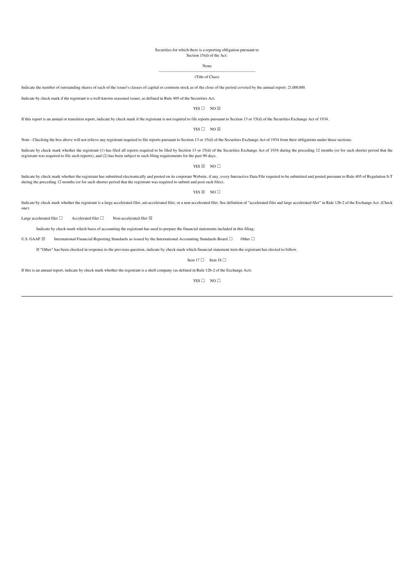#### Securities for which there is a reporting obligation pursuant to Section 15(d) of the Act:

None

#### ----------------------------------------------------------------------------- (Title of Class)

Indicate the number of outstanding shares of each of the issuer's classes of capital or common stock as of the close of the period covered by the annual report: 21,000,000.

Indicate by check mark if the registrant is a well-known seasoned issuer, as defined in Rule 405 of the Securities Act.

#### $YFS \Box NOS$

If this report is an annual or transition report, indicate by check mark if the registrant is not required to file reports pursuant to Section 13 or 15(d) of the Securities Exchange Act of 1934.

# YES  $\Box$  NO  $\boxtimes$

Note - Checking the box above will not relieve any registrant required to file reports pursuant to Section 13 or 15(d) of the Securities Exchange Act of 1934 from their obligations under those sections.

Indicate by check mark whether the registrant (1) has filed all reports required to be filed by Section 13 or 15(d) of the Securities Exchange Act of 1934 during the preceding 12 months (or for such shorter period that the registrant was required to file such reports), and (2) has been subject to such filing requirements for the past 90 days.

YES  $\boxtimes$  NO  $\Box$ 

Indicate by check mark whether the registrant has submitted electronically and posted on its corporate Website, if any, every Interactive Data File required to be submitted and posted pursuant to Rule 405 of Regulation S-T during the preceding 12 months (or for such shorter period that the registrant was required to submit and post such files).

YES  $\boxtimes$  NO  $\Box$ 

Indicate by check mark whether the registrant is a large accelerated filer, am accelerated filer, or a non-accelerated filer. See definition of "accelerated filer and large accelerated filer" in Rule 12b-2 of the Exchange one):

Large accelerated filer  $□$  Accelerated filer  $□$  Non-accelerated filer  $□$ 

Indicate by check mark which basis of accounting the registrant has used to prepare the financial statements included in this filing:

U.S. GAAP ⊠ International Financial Reporting Standards as issued by the International Accounting Standards Board □ Other □

If "Other" has been checked in response to the previous question, indicate by check mark which financial statement item the registrant has elected to follow.

Item 17  $□$  Item 18  $□$ 

If this is an annual report, indicate by check mark whether the registrant is a shell company (as defined in Rule 12b-2 of the Exchange Act).

 $YFS \Box NO \Box$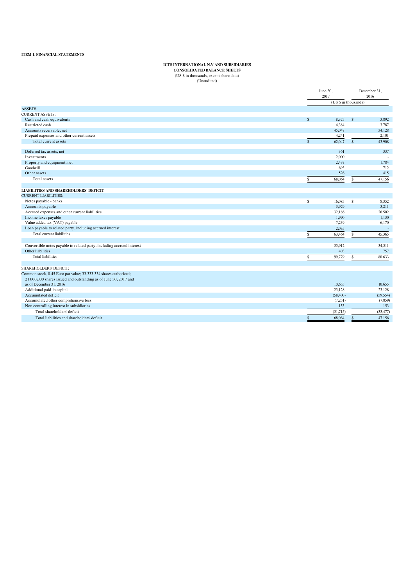# **ICTS INTERNATIONAL N.V AND SUBSIDIARIES CONSOLIDATED BALANCE SHEETS**

(US \$ in thousands, except share data) (Unaudited)

| (US \$ in thousands)<br>$\mathcal{S}$<br>8.375<br>$\mathsf{\$}$<br>3.892<br>Cash and cash equivalents<br>Restricted cash<br>4.384<br>3.787<br>Accounts receivable, net<br>45,047<br>34,128<br>Prepaid expenses and other current assets<br>4,241<br>2,101<br>62,047<br>$\mathsf{s}$<br>Total current assets<br>$\mathcal{S}$<br>43,908<br>361<br>337<br>Deferred tax assets, net<br>Investments<br>2,000<br>2.437<br>Property and equipment, net<br>1,784<br>Goodwill<br>693<br>712<br>526<br>Other assets<br>415<br>Total assets<br>\$<br>68,064<br>\$<br>47,156<br>Notes payable - banks<br>\$<br>16,085<br>\$<br>8,352<br>3.929<br>3,211<br>Accounts payable<br>Accrued expenses and other current liabilities<br>32,186<br>26,502<br>Income taxes payable<br>1,990<br>1,130<br>Value added tax (VAT) payable<br>7,239<br>6,170<br>Loan payable to related party, including accrued interest<br>2,035<br>Total current liabilities<br>63,464<br>\$<br>\$<br>45,365<br>34,511<br>Convertible notes payable to related party, including accrued interest<br>35,912<br>403<br>Other liabilities<br>757<br><b>Total liabilities</b><br>80,633<br>\$<br>99,779<br>$\mathsf{\$}$<br>SHAREHOLDERS' DEFICIT:<br>Common stock, 0.45 Euro par value; 33,333,334 shares authorized;<br>21,000,000 shares issued and outstanding as of June 30, 2017 and<br>as of December 31, 2016<br>10.655<br>10.655<br>23,128<br>23,128<br>Additional paid-in capital<br>Accumulated deficit<br>(58,400)<br>(59, 554)<br>Accumulated other comprehensive loss<br>(7.251)<br>(7,859)<br>Non controlling interest in subsidiaries<br>153<br>153<br>Total shareholders' deficit<br>(31,715)<br>(33, 477)<br>47.156<br>68,064<br>Total liabilities and shareholders' deficit<br>¢ |                                              | June 30,<br>2017 | December 31,<br>2016 |
|----------------------------------------------------------------------------------------------------------------------------------------------------------------------------------------------------------------------------------------------------------------------------------------------------------------------------------------------------------------------------------------------------------------------------------------------------------------------------------------------------------------------------------------------------------------------------------------------------------------------------------------------------------------------------------------------------------------------------------------------------------------------------------------------------------------------------------------------------------------------------------------------------------------------------------------------------------------------------------------------------------------------------------------------------------------------------------------------------------------------------------------------------------------------------------------------------------------------------------------------------------------------------------------------------------------------------------------------------------------------------------------------------------------------------------------------------------------------------------------------------------------------------------------------------------------------------------------------------------------------------------------------------------------------------------------------------------------------------------------------------------|----------------------------------------------|------------------|----------------------|
|                                                                                                                                                                                                                                                                                                                                                                                                                                                                                                                                                                                                                                                                                                                                                                                                                                                                                                                                                                                                                                                                                                                                                                                                                                                                                                                                                                                                                                                                                                                                                                                                                                                                                                                                                          |                                              |                  |                      |
|                                                                                                                                                                                                                                                                                                                                                                                                                                                                                                                                                                                                                                                                                                                                                                                                                                                                                                                                                                                                                                                                                                                                                                                                                                                                                                                                                                                                                                                                                                                                                                                                                                                                                                                                                          | <b>ASSETS</b>                                |                  |                      |
|                                                                                                                                                                                                                                                                                                                                                                                                                                                                                                                                                                                                                                                                                                                                                                                                                                                                                                                                                                                                                                                                                                                                                                                                                                                                                                                                                                                                                                                                                                                                                                                                                                                                                                                                                          | <b>CURRENT ASSETS:</b>                       |                  |                      |
|                                                                                                                                                                                                                                                                                                                                                                                                                                                                                                                                                                                                                                                                                                                                                                                                                                                                                                                                                                                                                                                                                                                                                                                                                                                                                                                                                                                                                                                                                                                                                                                                                                                                                                                                                          |                                              |                  |                      |
|                                                                                                                                                                                                                                                                                                                                                                                                                                                                                                                                                                                                                                                                                                                                                                                                                                                                                                                                                                                                                                                                                                                                                                                                                                                                                                                                                                                                                                                                                                                                                                                                                                                                                                                                                          |                                              |                  |                      |
|                                                                                                                                                                                                                                                                                                                                                                                                                                                                                                                                                                                                                                                                                                                                                                                                                                                                                                                                                                                                                                                                                                                                                                                                                                                                                                                                                                                                                                                                                                                                                                                                                                                                                                                                                          |                                              |                  |                      |
|                                                                                                                                                                                                                                                                                                                                                                                                                                                                                                                                                                                                                                                                                                                                                                                                                                                                                                                                                                                                                                                                                                                                                                                                                                                                                                                                                                                                                                                                                                                                                                                                                                                                                                                                                          |                                              |                  |                      |
|                                                                                                                                                                                                                                                                                                                                                                                                                                                                                                                                                                                                                                                                                                                                                                                                                                                                                                                                                                                                                                                                                                                                                                                                                                                                                                                                                                                                                                                                                                                                                                                                                                                                                                                                                          |                                              |                  |                      |
|                                                                                                                                                                                                                                                                                                                                                                                                                                                                                                                                                                                                                                                                                                                                                                                                                                                                                                                                                                                                                                                                                                                                                                                                                                                                                                                                                                                                                                                                                                                                                                                                                                                                                                                                                          |                                              |                  |                      |
|                                                                                                                                                                                                                                                                                                                                                                                                                                                                                                                                                                                                                                                                                                                                                                                                                                                                                                                                                                                                                                                                                                                                                                                                                                                                                                                                                                                                                                                                                                                                                                                                                                                                                                                                                          |                                              |                  |                      |
|                                                                                                                                                                                                                                                                                                                                                                                                                                                                                                                                                                                                                                                                                                                                                                                                                                                                                                                                                                                                                                                                                                                                                                                                                                                                                                                                                                                                                                                                                                                                                                                                                                                                                                                                                          |                                              |                  |                      |
|                                                                                                                                                                                                                                                                                                                                                                                                                                                                                                                                                                                                                                                                                                                                                                                                                                                                                                                                                                                                                                                                                                                                                                                                                                                                                                                                                                                                                                                                                                                                                                                                                                                                                                                                                          |                                              |                  |                      |
|                                                                                                                                                                                                                                                                                                                                                                                                                                                                                                                                                                                                                                                                                                                                                                                                                                                                                                                                                                                                                                                                                                                                                                                                                                                                                                                                                                                                                                                                                                                                                                                                                                                                                                                                                          |                                              |                  |                      |
|                                                                                                                                                                                                                                                                                                                                                                                                                                                                                                                                                                                                                                                                                                                                                                                                                                                                                                                                                                                                                                                                                                                                                                                                                                                                                                                                                                                                                                                                                                                                                                                                                                                                                                                                                          |                                              |                  |                      |
|                                                                                                                                                                                                                                                                                                                                                                                                                                                                                                                                                                                                                                                                                                                                                                                                                                                                                                                                                                                                                                                                                                                                                                                                                                                                                                                                                                                                                                                                                                                                                                                                                                                                                                                                                          | <b>LIABILITIES AND SHAREHOLDERS' DEFICIT</b> |                  |                      |
|                                                                                                                                                                                                                                                                                                                                                                                                                                                                                                                                                                                                                                                                                                                                                                                                                                                                                                                                                                                                                                                                                                                                                                                                                                                                                                                                                                                                                                                                                                                                                                                                                                                                                                                                                          | <b>CURRENT LIABILITIES:</b>                  |                  |                      |
|                                                                                                                                                                                                                                                                                                                                                                                                                                                                                                                                                                                                                                                                                                                                                                                                                                                                                                                                                                                                                                                                                                                                                                                                                                                                                                                                                                                                                                                                                                                                                                                                                                                                                                                                                          |                                              |                  |                      |
|                                                                                                                                                                                                                                                                                                                                                                                                                                                                                                                                                                                                                                                                                                                                                                                                                                                                                                                                                                                                                                                                                                                                                                                                                                                                                                                                                                                                                                                                                                                                                                                                                                                                                                                                                          |                                              |                  |                      |
|                                                                                                                                                                                                                                                                                                                                                                                                                                                                                                                                                                                                                                                                                                                                                                                                                                                                                                                                                                                                                                                                                                                                                                                                                                                                                                                                                                                                                                                                                                                                                                                                                                                                                                                                                          |                                              |                  |                      |
|                                                                                                                                                                                                                                                                                                                                                                                                                                                                                                                                                                                                                                                                                                                                                                                                                                                                                                                                                                                                                                                                                                                                                                                                                                                                                                                                                                                                                                                                                                                                                                                                                                                                                                                                                          |                                              |                  |                      |
|                                                                                                                                                                                                                                                                                                                                                                                                                                                                                                                                                                                                                                                                                                                                                                                                                                                                                                                                                                                                                                                                                                                                                                                                                                                                                                                                                                                                                                                                                                                                                                                                                                                                                                                                                          |                                              |                  |                      |
|                                                                                                                                                                                                                                                                                                                                                                                                                                                                                                                                                                                                                                                                                                                                                                                                                                                                                                                                                                                                                                                                                                                                                                                                                                                                                                                                                                                                                                                                                                                                                                                                                                                                                                                                                          |                                              |                  |                      |
|                                                                                                                                                                                                                                                                                                                                                                                                                                                                                                                                                                                                                                                                                                                                                                                                                                                                                                                                                                                                                                                                                                                                                                                                                                                                                                                                                                                                                                                                                                                                                                                                                                                                                                                                                          |                                              |                  |                      |
|                                                                                                                                                                                                                                                                                                                                                                                                                                                                                                                                                                                                                                                                                                                                                                                                                                                                                                                                                                                                                                                                                                                                                                                                                                                                                                                                                                                                                                                                                                                                                                                                                                                                                                                                                          |                                              |                  |                      |
|                                                                                                                                                                                                                                                                                                                                                                                                                                                                                                                                                                                                                                                                                                                                                                                                                                                                                                                                                                                                                                                                                                                                                                                                                                                                                                                                                                                                                                                                                                                                                                                                                                                                                                                                                          |                                              |                  |                      |
|                                                                                                                                                                                                                                                                                                                                                                                                                                                                                                                                                                                                                                                                                                                                                                                                                                                                                                                                                                                                                                                                                                                                                                                                                                                                                                                                                                                                                                                                                                                                                                                                                                                                                                                                                          |                                              |                  |                      |
|                                                                                                                                                                                                                                                                                                                                                                                                                                                                                                                                                                                                                                                                                                                                                                                                                                                                                                                                                                                                                                                                                                                                                                                                                                                                                                                                                                                                                                                                                                                                                                                                                                                                                                                                                          |                                              |                  |                      |
|                                                                                                                                                                                                                                                                                                                                                                                                                                                                                                                                                                                                                                                                                                                                                                                                                                                                                                                                                                                                                                                                                                                                                                                                                                                                                                                                                                                                                                                                                                                                                                                                                                                                                                                                                          |                                              |                  |                      |
|                                                                                                                                                                                                                                                                                                                                                                                                                                                                                                                                                                                                                                                                                                                                                                                                                                                                                                                                                                                                                                                                                                                                                                                                                                                                                                                                                                                                                                                                                                                                                                                                                                                                                                                                                          |                                              |                  |                      |
|                                                                                                                                                                                                                                                                                                                                                                                                                                                                                                                                                                                                                                                                                                                                                                                                                                                                                                                                                                                                                                                                                                                                                                                                                                                                                                                                                                                                                                                                                                                                                                                                                                                                                                                                                          |                                              |                  |                      |
|                                                                                                                                                                                                                                                                                                                                                                                                                                                                                                                                                                                                                                                                                                                                                                                                                                                                                                                                                                                                                                                                                                                                                                                                                                                                                                                                                                                                                                                                                                                                                                                                                                                                                                                                                          |                                              |                  |                      |
|                                                                                                                                                                                                                                                                                                                                                                                                                                                                                                                                                                                                                                                                                                                                                                                                                                                                                                                                                                                                                                                                                                                                                                                                                                                                                                                                                                                                                                                                                                                                                                                                                                                                                                                                                          |                                              |                  |                      |
|                                                                                                                                                                                                                                                                                                                                                                                                                                                                                                                                                                                                                                                                                                                                                                                                                                                                                                                                                                                                                                                                                                                                                                                                                                                                                                                                                                                                                                                                                                                                                                                                                                                                                                                                                          |                                              |                  |                      |
|                                                                                                                                                                                                                                                                                                                                                                                                                                                                                                                                                                                                                                                                                                                                                                                                                                                                                                                                                                                                                                                                                                                                                                                                                                                                                                                                                                                                                                                                                                                                                                                                                                                                                                                                                          |                                              |                  |                      |
|                                                                                                                                                                                                                                                                                                                                                                                                                                                                                                                                                                                                                                                                                                                                                                                                                                                                                                                                                                                                                                                                                                                                                                                                                                                                                                                                                                                                                                                                                                                                                                                                                                                                                                                                                          |                                              |                  |                      |
|                                                                                                                                                                                                                                                                                                                                                                                                                                                                                                                                                                                                                                                                                                                                                                                                                                                                                                                                                                                                                                                                                                                                                                                                                                                                                                                                                                                                                                                                                                                                                                                                                                                                                                                                                          |                                              |                  |                      |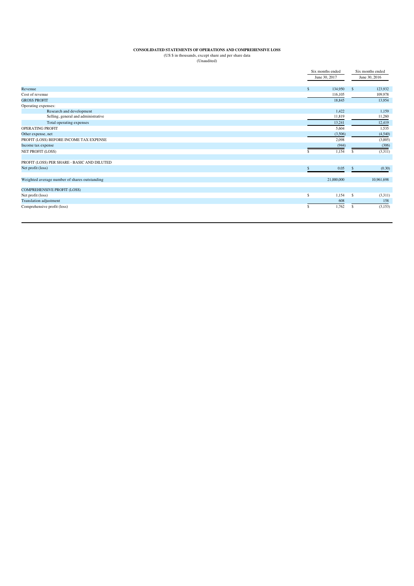# **CONSOLIDATED STATEMENTS OF OPERATIONS AND COMPREHENSIVE LOSS** (US \$ in thousands, except share and per share data (Unaudited)

|                                               |                    | Six months ended |                    | Six months ended |  |
|-----------------------------------------------|--------------------|------------------|--------------------|------------------|--|
|                                               | June 30, 2017      |                  |                    | June 30, 2016    |  |
|                                               |                    |                  |                    |                  |  |
| Revenue                                       | $\mathbf{\hat{s}}$ | 134,950          | $\mathbf{\hat{s}}$ | 123.932          |  |
| Cost of revenue                               |                    | 116,105          |                    | 109,978          |  |
| <b>GROSS PROFIT</b>                           |                    | 18,845           |                    | 13,954           |  |
| Operating expenses:                           |                    |                  |                    |                  |  |
| Research and development                      |                    | 1,422            |                    | 1,159            |  |
| Selling, general and administrative           |                    | 11,819           |                    | 11,260           |  |
| Total operating expenses                      |                    | 13,241           |                    | 12,419           |  |
| <b>OPERATING PROFIT</b>                       |                    | 5,604            |                    | 1,535            |  |
| Other expense, net                            |                    | (3,506)          |                    | (4,540)          |  |
| PROFIT (LOSS) BEFORE INCOME TAX EXPENSE       |                    | 2,098            |                    | (3,005)          |  |
| Income tax expense                            |                    | (944)            |                    | (306)            |  |
| NET PROFIT (LOSS)                             | \$.                | 1,154            | S                  | (3,311)          |  |
| PROFIT (LOSS) PER SHARE - BASIC AND DILUTED   |                    |                  |                    |                  |  |
| Net profit (loss)                             |                    | 0.05             |                    | (0.30)           |  |
|                                               |                    |                  |                    |                  |  |
| Weighted average number of shares outstanding |                    | 21,000,000       |                    | 10,961,698       |  |
| <b>COMPREHENSIVE PROFIT (LOSS)</b>            |                    |                  |                    |                  |  |
| Net profit (loss)                             | \$                 | 1,154            | \$                 | (3,311)          |  |
| <b>Translation adjustment</b>                 |                    | 608              |                    | 158              |  |
| Comprehensive profit (loss)                   | \$                 | 1,762            | \$.                | (3,153)          |  |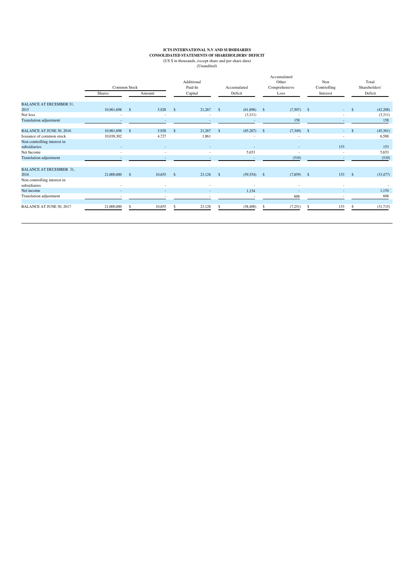# **ICTS INTERNATIONAL N.V AND SUBSIDIARIES**<br> **CONSOLIDATED STATEMENTS OF SHAREHOLDERS' DEFICIT**<br>
(US \$ in thousands, except share and per share data)<br>
(Unaudited)

|                                             |              |               |                          |               | Additional |              |               |            | Accumulated<br>Other | Non          |      | Total         |
|---------------------------------------------|--------------|---------------|--------------------------|---------------|------------|--------------|---------------|------------|----------------------|--------------|------|---------------|
|                                             | Common Stock |               |                          |               | Paid-In    |              | Accumulated   |            | Comprehensive        | Contriolling |      | Shareholders' |
|                                             | Shares       |               | Amount                   |               | Capital    |              | Deficit       |            | Loss                 | Interest     |      | Deficit       |
|                                             |              |               |                          |               |            |              |               |            |                      |              |      |               |
| <b>BALANCE AT DECEMBER 31,</b><br>2015      | 10,961,698   | $\mathbf{s}$  | 5,928                    | <sup>\$</sup> | 21,267     | $\mathbf{s}$ | (61,896)      | $^{\circ}$ | $(7,507)$ \$         | $\sim$       | -8   | (42,208)      |
| Net loss                                    | ٠            |               | $\overline{\phantom{a}}$ |               |            |              | (3,311)       |            |                      |              |      | (3,311)       |
| Translation adjustment                      |              |               |                          |               |            |              |               |            | 158                  |              |      | 158           |
| <b>BALANCE AT JUNE 30, 2016</b>             | 10,961,698   | Ŝ.            | 5,928                    | $\mathsf{\$}$ | 21,267     | Ŝ.           | (65,207)      | -S         | $(7,349)$ \$         |              |      | (45,361)      |
| Issuance of common stock                    | 10,038,302   |               | 4,727                    |               | 1,861      |              |               |            |                      |              |      | 6,588         |
| Non controlling interest in                 |              |               |                          |               |            |              |               |            |                      |              |      |               |
| subsidiaries                                |              |               |                          |               |            |              |               |            |                      | 153          |      | 153           |
| Net Income                                  | ٠            |               | ٠                        |               | ٠          |              | 5,653         |            | $\sim$               |              |      | 5,653         |
| Translation adjustment                      |              |               |                          |               |            |              |               |            | (510)                |              |      | (510)         |
| <b>BALANCE AT DECEMBER 31,</b>              |              |               |                          |               |            |              |               |            |                      |              |      |               |
| 2016                                        | 21,000,000   | <sup>\$</sup> | 10,655                   | $\mathcal{S}$ | 23,128     | -S           | $(59,554)$ \$ |            | $(7,859)$ \$         | 153          | - \$ | (33, 477)     |
| Non controlling interest in<br>subsidiaries | ٠            |               |                          |               |            |              |               |            |                      |              |      |               |
| Net income                                  |              |               |                          |               |            |              | 1,154         |            |                      |              |      | 1,154         |
| Translation adjustment                      |              |               |                          |               |            |              |               |            | 608                  |              |      | 608           |
| <b>BALANCE AT JUNE 30, 2017</b>             | 21,000,000   | S             | 10,655                   | Ŝ.            | 23,128     | \$.          | (58,400)      | -S         | (7,251)              | \$<br>153    |      | (31,715)      |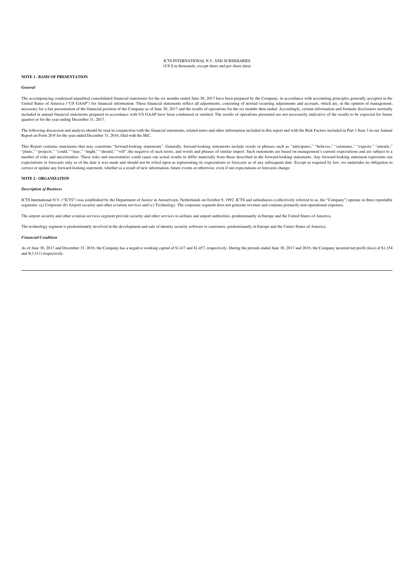# **NOTE 1 - BASIS OF PRESENTATION**

#### *General*

The accompanying condensed unaudited consolidated financial statements for the six months ended June 30, 2017 have been prepared by the Company, in accordance with accounting principles generally accepted in the United States of America ("US GAAP") for financial information. These financial statements reflect all adjustments, consisting of normal recurring adjustments and accruals, which are, in the opinion of management, necessary for a fair presentation of the financial position of the Company as of June 30, 2017 and the results of operations for the six months then ended. Accordingly, certain information and footnote disclosures normally included in annual financial statements prepared in accordance with US GAAP have been condensed or omitted. The results of operations presented are not necessarily indicative of the results to be expected for future quarters or for the year ending December 31, 2017.

The following discussion and analysis should be read in conjunction with the financial statements, related notes and other information included in this report and with the Risk Factors included in Part 1 Item 3 in our Annu Report on Form 20-F for the year ended December 31, 2016, filed with the SEC.

This Report contains statements that may constitute "forward-looking statements". Generally, forward-looking statements include words or phrases such as "anticipates," "believes," "estimates," "expects," "intends,"<br>"plans, .<br>"projects," "could," "may," "might," "should," "will", the negative of such terms, and words and phrases of similar import. Such statements are based on management's current expectations and are subject to a number of risks and uncertainties. These risks and uncertainties could cause our actual results to differ materially from those described in the forward-looking statements. Any forward-looking statement represents our<br>expe correct or update any forward-looking statement, whether as a result of new information, future events or otherwise, even if our expectations or forecasts change.

# **NOTE 2 - ORGANIZATION**

#### *Description of Business*

ICTS International N.V. ("ICTS") was established by the Department of Justice in Amstelveen, Netherlands on October 9, 1992. ICTS and subsidiaries (collectively referred to as, the "Company") operate in three reportable segments: (a) Corporate (b) Airport security and other aviation services and (c) Technology. The corporate segment does not generate revenue and contains primarily non-operational expense

The airport security and other aviation services segment provide security and other services to airlines and airport authorities, predominantly in Europe and the United States of America.

The technology segment is predominantly involved in the development and sale of identity security software to customers, predominantly in Europe and the Unites States of America.

#### *Financial Condition*

As of June 30, 2017 and December 31, 2016, the Company has a negative working capital of \$1,417 and \$1,457, respectively. During the periods ended June 30, 2017 and 2016, the Company incurred net profit (loss) of \$1,154 and \$(3,311) respectively.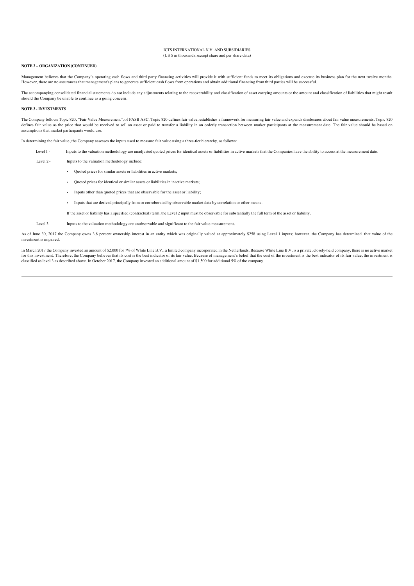## **NOTE 2 – ORGANIZATION (CONTINUED)**

Management believes that the Company's operating cash flows and third party financing activities will provide it with sufficient funds to meet its obligations and execute its business plan for the next twelve months. However, there are no assurances that management's plans to generate sufficient cash flows from operations and obtain additional financing from third parties will be successful.

The accompanying consolidated financial statements do not include any adjustments relating to the recoverability and classification of asset carrying amounts or the amount and classification of liabilities that might result should the Company be unable to continue as a going concern.

#### **NOTE 3 - INVESTMENTS**

The Company follows Topic 820, "Fair Value Measurement", of FASB ASC. Topic 820 defines fair value, establishes a framework for measuring fair value and expands disclosures about fair value measurements. Topic 820 defines fair value as the price that would be received to sell an asset or paid to transfer a liability in an orderly transaction between market participants at the measurement date. The fair value should be based on assumptions that market participants would use.

In determining the fair value, the Company assesses the inputs used to measure fair value using a three-tier hierarchy, as follows:

Level 1 - Inputs to the valuation methodology are unadjusted quoted prices for identical assets or liabilities in active markets that the Companies have the ability to access at the measurement date.

Level 2 - Inputs to the valuation methodology include:

- Quoted prices for similar assets or liabilities in active markets;
- Quoted prices for identical or similar assets or liabilities in inactive markets;
- Inputs other than quoted prices that are observable for the asset or liability;
- Inputs that are derived principally from or corroborated by observable market data by correlation or other means.

If the asset or liability has a specified (contractual) term, the Level 2 input must be observable for substantially the full term of the asset or liability.

Level 3 - Inputs to the valuation methodology are unobservable and significant to the fair value measurement.

As of June 30, 2017 the Company owns 3.8 percent ownership interest in an entity which was originally valued at approximately \$258 using Level 1 inputs; however, the Company has determined that value of the investment is impaired.

In March 2017 the Company invested an amount of \$2,000 for 7% of White Line B.V., a limited company incorporated in the Netherlands. Because White Line B.V. is a private, closely-held company, there is no active market for this investment. Therefore, the Company believes that its cost is the best indicator of its fair value. Because of management's belief that the cost of the investment is the best indicator of its fair value, the invest classified as level 3 as described above. In October 2017, the Company invested an additional amount of \$1,500 for additional 5% of the company.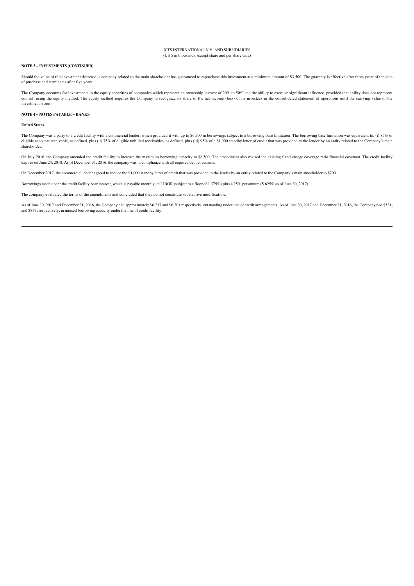## **NOTE 3 – INVESTMENTS (CONTINUED)**

Should the value of this investment decrease, a company related to the main shareholder has guaranteed to repurchase this investment at a minimum amount of \$3,500. The guaranty is effective after three years of the date of purchase and terminates after five years.

The Company accounts for investments in the equity securities of companies which represent an ownership interest of 20% to 50% and the ability to exercise significant influence, provided that ability does not represent<br>con investment is zero.

#### **NOTE 4 – NOTES PAYABLE – BANKS**

# **United States**

The Company was a party to a credit facility with a commercial lender, which provided it with up to \$6,500 in borrowings subject to a borrowing base limitation. The borrowing base limitation was equivalent to: (i) 85% of eligible accounts receivable, as defined, plus (ii) 75% of eligible unbilled receivables, as defined, plus (iii) 95% of a \$1,000 standby letter of credit that was provided to the lender by an entity related to the Company' shareholder.

On July 2016, the Company amended the credit facility to increase the maximum borrowing capacity to \$8,500. The amendment also revised the existing fixed charge coverage ratio financial covenant. The credit facility<br>expire

On December 2017, the commercial lender agreed to reduce the \$1,000 standby letter of credit that was provided to the lender by an entity related to the Company's main shareholder to \$700.

Borrowings made under the credit facility bear interest, which is payable monthly, at LIBOR (subject to a floor of 1.375%) plus 4.25% per annum (5.625% as of June 30, 2017).

The company evaluated the terms of the amendments and concluded that they do not constitute substantive modification.

As of June 30, 2017 and December 31, 2016, the Company had approximately \$6,217 and \$6,301 respectively, outstanding under line of credit arrangements. As of June 30, 2017 and December 31, 2016, the Company had \$531, and \$833, respectively, in unused borrowing capacity under the line of credit facility.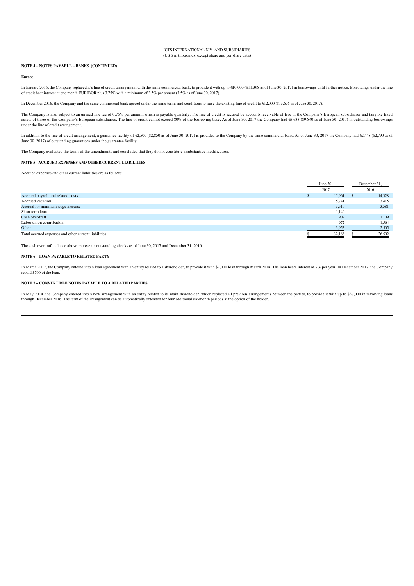# **NOTE 4 – NOTES PAYABLE – BANKS (CONTINUED)**

#### **Europe**

In January 2016, the Company replaced it's line of credit arrangement with the same commercial bank, to provide it with up to €10,000 (\$11,398 as of June 30, 2017) in borrowings until further notice. Borrowings under the l of credit bear interest at one month EURIBOR plus 3.75% with a minimum of 3.5% per annum (3.5% as of June 30, 2017).

In December 2016, the Company and the same commercial bank agreed under the same terms and conditions to raise the existing line of credit to €12,000 (\$13,676 as of June 30, 2017).

The Company is also subject to an unused line fee of 0.75% per annum, which is payable quarterly. The line of credit is secured by accounts receivable of five of the Company's European subsidiaries and tangible fixed<br>asse under the line of credit arrangement.

In addition to the line of credit arrangement, a guarantee facility of €,500 (\$2,850 as of June 30, 2017) is provided to the Company by the same commercial bank. As of June 30, 2017 the Company had €,448 (\$2,790 as of<br>Jun

The Company evaluated the terms of the amendments and concluded that they do not constitute a substantive modification.

# **NOTE 5 - ACCRUED EXPENSES AND OTHER CURRENT LIABILITIES**

Accrued expenses and other current liabilities are as follows:

|                                                      | June 30, |  | December 31,             |
|------------------------------------------------------|----------|--|--------------------------|
|                                                      | 2017     |  | 2016                     |
| Accrued payroll and related costs                    | 15,961   |  | 14,328                   |
| Accrued vacation                                     | 5,741    |  | 3,415                    |
| Accrual for minimum wage increase                    | 3,510    |  | 3,581                    |
| Short term loan                                      | 1,140    |  | $\overline{\phantom{a}}$ |
| Cash overdraft                                       | 909      |  | 1,109                    |
| Labor union contribution                             | 972      |  | 1,564                    |
| Other                                                | 3,953    |  | 2,505                    |
| Total accrued expenses and other current liabilities | 32,186   |  | 26,502                   |

The cash overdraft balance above represents outstanding checks as of June 30, 2017 and December 31, 2016.

# **NOTE 6 – LOAN PAYABLE TO RELATED PARTY**

In March 2017, the Company entered into a loan agreement with an entity related to a shareholder, to provide it with \$2,000 loan through March 2018. The loan bears interest of 7% per year. In December 2017, the Company repaid \$700 of the loan.

#### **NOTE 7 – CONVERTIBLE NOTES PAYABLE TO A RELATED PARTIES**

In May 2014, the Company entered into a new arrangement with an entity related to its main shareholder, which replaced all previous arrangements between the parties, to provide it with up to \$37,000 in revolving loans through December 2016. The term of the arrangement can be automatically extended for four additional six-month periods at the option of the holder.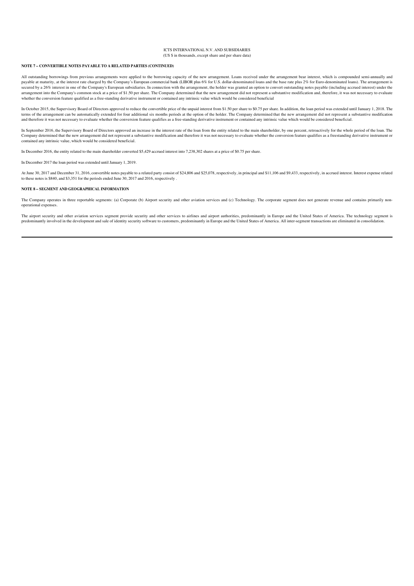### **NOTE 7 – CONVERTIBLE NOTES PAYABLE TO A RELATED PARTIES (CONTINUED)**

All outstanding borrowings from previous arrangements were applied to the borrowing capacity of the new arrangement. Loans received under the arrangement bear interest, which is compounded semi-annually and payable at maturity, at the interest rate charged by the Company's European commercial bank (LIBOR plus 6% for U.S. dollar-denominated loans and the base rate plus 2% for Euro-denominated loans). The arrangement is .<br>secured by a 26% interest in one of the Company's European subsidiaries. In connection with the arrangement, the holder was granted an option to convert outstanding notes payable (including accrued interest) under the arrangement into the Company's common stock at a price of \$1.50 per share. The Company determined that the new arrangement did not represent a substantive modification and, therefore, it was not necessary to evaluate<br>wheth

In October 2015, the Supervisory Board of Directors approved to reduce the convertible price of the unpaid interest from \$1.50 per share to \$0.75 per share. In addition, the loan period was extended until January 1, 2018. terms of the arrangement can be automatically extended for four additional six months periods at the option of the holder. The Company determined that the new arrangement did not represent a substantive modification<br>and th

In September 2016, the Supervisory Board of Directors approved an increase in the interest rate of the loan from the entity related to the main shareholder, by one percent, retroactively for the whole period of the loan. The Company determined that the new arrangement did not represent a substantive modification and therefore it was not necessary to evaluate whether the conversion feature qualifies as a freestanding derivative instrument or contained any intrinsic value, which would be considered beneficial.

In December 2016, the entity related to the main shareholder converted \$5,429 accrued interest into 7,238,302 shares at a price of \$0.75 per share.

In December 2017 the loan period was extended until January 1, 2019.

At June 30, 2017 and December 31, 2016, convertible notes payable to a related party consist of \$24,806 and \$25,078, respectively, in principal and \$11,106 and \$29,33, respectively, in accrued interest. Interest expense re to these notes is \$840, and \$3,351 for the periods ended June 30, 2017 and 2016, respectively .

#### **NOTE 8 – SEGMENT AND GEOGRAPHICAL INFORMATION**

The Company operates in three reportable segments: (a) Corporate (b) Airport security and other aviation services and (c) Technology. The corporate segment does not generate revenue and contains primarily nonoperational expenses.

The airport security and other aviation services segment provide security and other services to airlines and airport authorities, predominantly in Europe and the United States of America. The technology segment is predominantly involved in the development and sale of identity security software to customers, predominantly in Europe and the United States of America. All inter-segment transactions are eliminated in consolidation.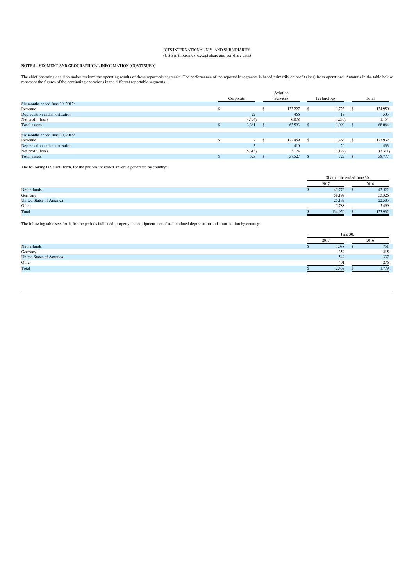# **NOTE 8 – SEGMENT AND GEOGRAPHICAL INFORMATION (CONTINUED)**

The chief operating decision maker reviews the operating results of these reportable segments. The performance of the reportable segments is based primarily on profit (loss) from operations. Amounts in the table below<br>repr

|                                 |           | Aviation |            |         |
|---------------------------------|-----------|----------|------------|---------|
|                                 | Corporate | Services | Technology | Total   |
| Six months ended June 30, 2017: |           |          |            |         |
| Revenue                         | $\sim$    | 133,227  | 1,723      | 134,950 |
| Depreciation and amortization   | 22        | 466      | 17         | 505     |
| Net profit (loss)               | (4, 474)  | 6,878    | (1,250)    | 1,154   |
| Total assets                    | 3,381     | 63,593   | 1,090      | 68,064  |
|                                 |           |          |            |         |
| Six months ended June 30, 2016: |           |          |            |         |
| Revenue                         | $\sim$    | 122,469  | 1,463      | 123,932 |
| Depreciation and amortization   |           | 410      | 20         | 433     |
| Net profit (loss)               | (5,313)   | 3,124    | (1,122)    | (3,311) |
| Total assets                    | 523       | 57,527   | 727        | 58,777  |

The following table sets forth, for the periods indicated, revenue generated by country:

|                                 |      | Six months ended June 30, |  |         |  |
|---------------------------------|------|---------------------------|--|---------|--|
|                                 | 2017 |                           |  | 2016    |  |
| Netherlands                     |      | 45,776                    |  | 42,522  |  |
| Germany                         |      | 58,197                    |  | 53,326  |  |
| <b>United States of America</b> |      | 25,189                    |  | 22,585  |  |
| Other                           |      | 5.788                     |  | 5.499   |  |
| Total                           |      | 134,950                   |  | 123,932 |  |

The following table sets forth, for the periods indicated, property and equipment, net of accumulated depreciation and amortization by country:

|                                 | June 30 |  |       |  |
|---------------------------------|---------|--|-------|--|
|                                 | 2017    |  | 2016  |  |
| Netherlands                     | 1,038   |  | 751   |  |
| Germany                         | 359     |  | 415   |  |
| <b>United States of America</b> | 549     |  | 337   |  |
| Other                           | 491     |  | 276   |  |
| Total                           | 2,437   |  | 1.779 |  |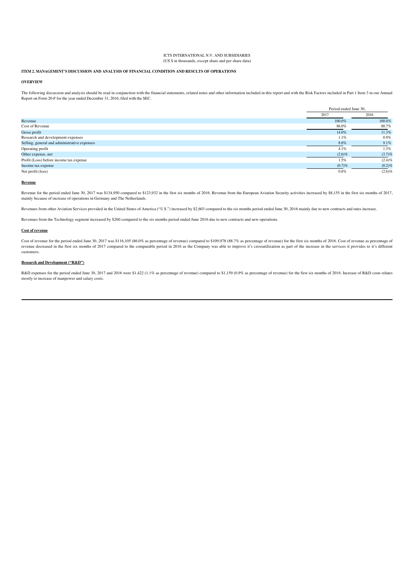# **ITEM 2. MANAGEMENT'S DISCUSSION AND ANALYSIS OF FINANCIAL CONDITION AND RESULTS OF OPERATIONS**

# **OVERVIEW**

The following discussion and analysis should be read in conjunction with the financial statements, related notes and other information included in this report and with the Risk Factors included in Part 1 Item 3 in our Annual Report on Form 20-F for the year ended December 31, 2016, filed with the SEC.

|                                              | Period ended June 30, |           |
|----------------------------------------------|-----------------------|-----------|
|                                              | 2017                  | 2016      |
| Revenue                                      | 100.0%                | 100.0%    |
| Cost of Revenue                              | 86.0%                 | 88.7%     |
| Gross profit                                 | 14.0%                 | 11.3%     |
| Research and development expenses            | 1.1%                  | $0.9\%$   |
| Selling, general and administrative expenses | 8.8%                  | $9.1\%$   |
| Operating profit                             | 4.1%                  | 1.3%      |
| Other expense, net                           | $(2.6)\%$             | (3.7)%    |
| Profit (Loss) before income tax expense      | 1.5%                  | $(2.4)\%$ |
| Income tax expense                           | (0.7)%                | $(0.2)\%$ |
| Net profit (loss)                            | 0.8%                  | (2.6)%    |

#### **Revenue**

Revenue for the period ended June 30, 2017 was \$134,950 compared to \$123,932 in the first six months of 2016. Revenue from the European Aviation Security activities increased by \$8,155 in the first six months of 2017, mainly because of increase of operations in Germany and The Netherlands.

Revenues from other Aviation Services provided in the United States of America ("U.S.") increased by \$2,603 compared to the six months period ended June 30, 2016 mainly due to new contracts and rates increase.

Revenues from the Technology segment increased by \$260 compared to the six months period ended June 2016 due to new contracts and new operations.

# **Cost of revenue**

Cost of revenue for the period ended June 30, 2017 was \$116,105 (86.0% as percentage of revenue) compared to \$109,978 (88.7% as percentage of revenue) for the first six months of 2016. Cost of revenue as percentage of<br>reve customers.

### **Research and Development ("R&D")**

R&D expenses for the period ended June 30, 2017 and 2016 were \$1,422 (1.1% as percentage of revenue) compared to \$1,159 (0.9% as percentage of revenue) for the first six months of 2016. Increase of R&D costs relates mostly to increase of manpower and salary costs.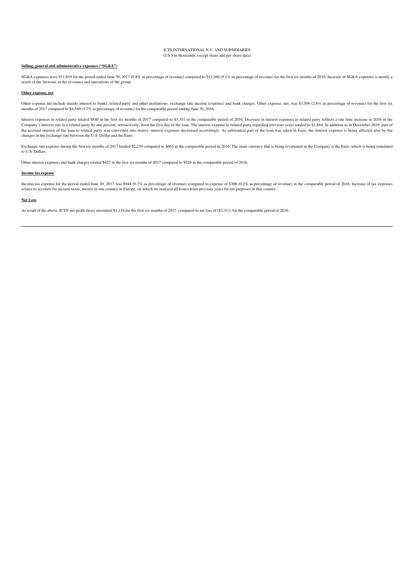# **Selling, general and administrative expenses ("SG&A")**

SG&A expenses were \$11,819 for the period ended June 30, 2017 (8.8% as percentage of revenue) compared to \$11,260 (9.1% as percentage of revenue) for the first six months of 2016. Increase of SG&A expenses is mostly a result of the increase in the revenues and operations of the group.

### **Other expense, net**

Other expense net include mainly interest to banks, related party and other institutions, exchange rate income (expense) and bank charges. Other expense, net, was \$3,506 (2.6% as percentage of revenue) for the first six months of 2017 compared to \$4,540 (3.7% as percentage of revenue) for the comparable period ending June 30, 2016.

Interest expenses to related party totaled \$840 in the first six months of 2017 compared to \$3,351 in the comparable period of 2016. Decrease in interest expenses to related party reflects a one time increase in 2016 of th Company's interest rate to a related party by one percent, retroactively, from the first day of the loan. The interest expense to related party regarding previous years totaled to \$1,864. In addition as in December 2016, p the accrued interest of the loan to related party was converted into shares, interest expenses decreased accordingly. As substantial part of the loan was taken in Euro, the interest expense is being affected also by the changes in the exchange rate between the U.S. Dollar and the Euro.

Exchange rate expense during the first six months of 2017 totaled \$2,239 compared to \$663 at the comparable period in 2016. The main currency that is being revaluated in the Company is the Euro, which is being translated to U.S. Dollars.

Other interest expenses and bank charges totaled \$427 in the first six months of 2017 compared to \$526 in the comparable period of 2016.

#### **Income tax expense**

Income tax expense for the period ended June 30, 2017 was \$944 (0.7% as percentage of revenue) compared to expense of \$306 (0.2% as percentage of revenue) in the comparable period of 2016. Increase of tax expenses relates to accruals for income taxes, mostly in one country in Europe, on which we realized all losses from previous years for tax purposes in that country.

#### **Net Loss**

As result of the above, ICTS' net profit (loss) amounted \$1,154 for the first six months of 2017, compared to net loss of (\$3,311) for the comparable period of 2016.